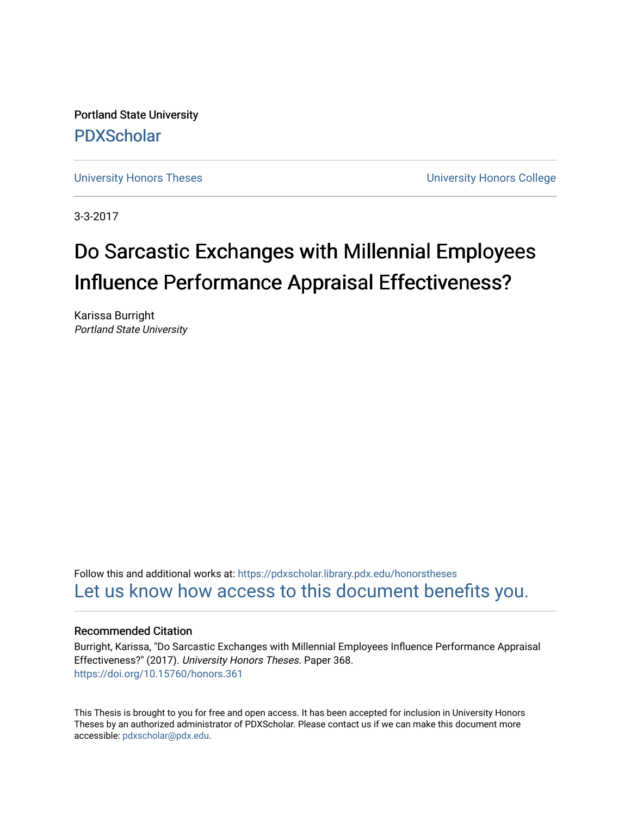Portland State University [PDXScholar](https://pdxscholar.library.pdx.edu/)

[University Honors Theses](https://pdxscholar.library.pdx.edu/honorstheses) **University Honors College** 

3-3-2017

# Do Sarcastic Exchanges with Millennial Employees Influence Performance Appraisal Effectiveness?

Karissa Burright Portland State University

Follow this and additional works at: [https://pdxscholar.library.pdx.edu/honorstheses](https://pdxscholar.library.pdx.edu/honorstheses?utm_source=pdxscholar.library.pdx.edu%2Fhonorstheses%2F368&utm_medium=PDF&utm_campaign=PDFCoverPages)  [Let us know how access to this document benefits you.](http://library.pdx.edu/services/pdxscholar-services/pdxscholar-feedback/) 

# Recommended Citation

Burright, Karissa, "Do Sarcastic Exchanges with Millennial Employees Influence Performance Appraisal Effectiveness?" (2017). University Honors Theses. Paper 368. <https://doi.org/10.15760/honors.361>

This Thesis is brought to you for free and open access. It has been accepted for inclusion in University Honors Theses by an authorized administrator of PDXScholar. Please contact us if we can make this document more accessible: [pdxscholar@pdx.edu.](mailto:pdxscholar@pdx.edu)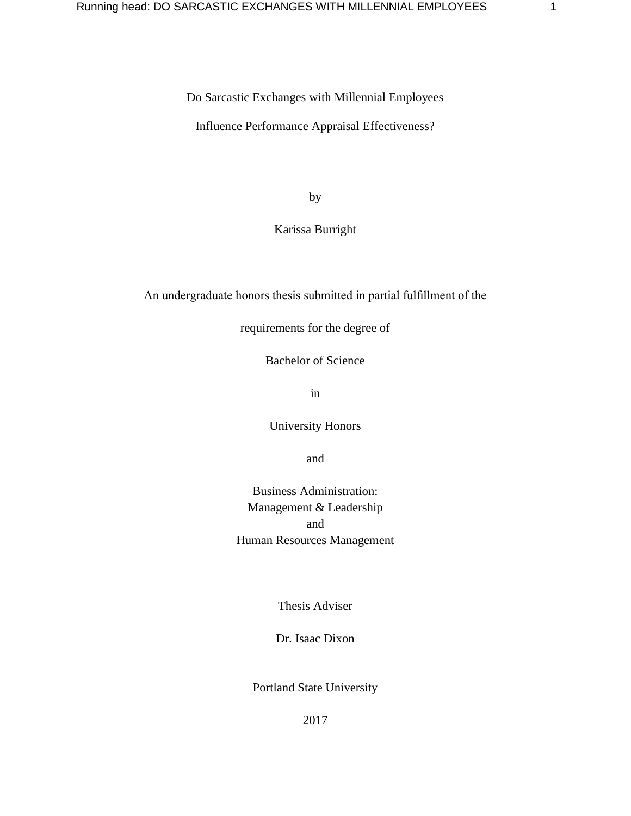Do Sarcastic Exchanges with Millennial Employees

Influence Performance Appraisal Effectiveness?

by

Karissa Burright

An undergraduate honors thesis submitted in partial fulfillment of the

requirements for the degree of

Bachelor of Science

in

University Honors

and

Business Administration: Management & Leadership and Human Resources Management

Thesis Adviser

Dr. Isaac Dixon

Portland State University

2017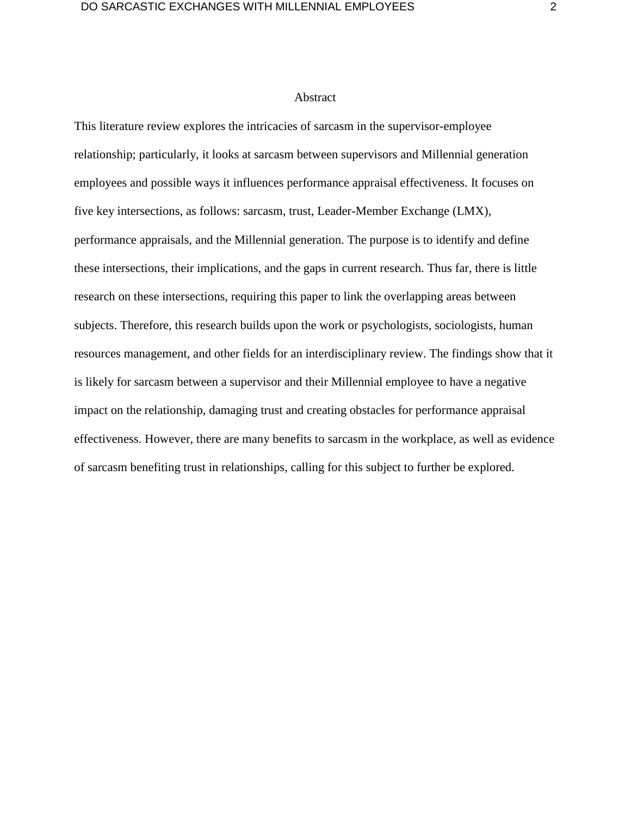#### Abstract

This literature review explores the intricacies of sarcasm in the supervisor-employee relationship; particularly, it looks at sarcasm between supervisors and Millennial generation employees and possible ways it influences performance appraisal effectiveness. It focuses on five key intersections, as follows: sarcasm, trust, Leader-Member Exchange (LMX), performance appraisals, and the Millennial generation. The purpose is to identify and define these intersections, their implications, and the gaps in current research. Thus far, there is little research on these intersections, requiring this paper to link the overlapping areas between subjects. Therefore, this research builds upon the work or psychologists, sociologists, human resources management, and other fields for an interdisciplinary review. The findings show that it is likely for sarcasm between a supervisor and their Millennial employee to have a negative impact on the relationship, damaging trust and creating obstacles for performance appraisal effectiveness. However, there are many benefits to sarcasm in the workplace, as well as evidence of sarcasm benefiting trust in relationships, calling for this subject to further be explored.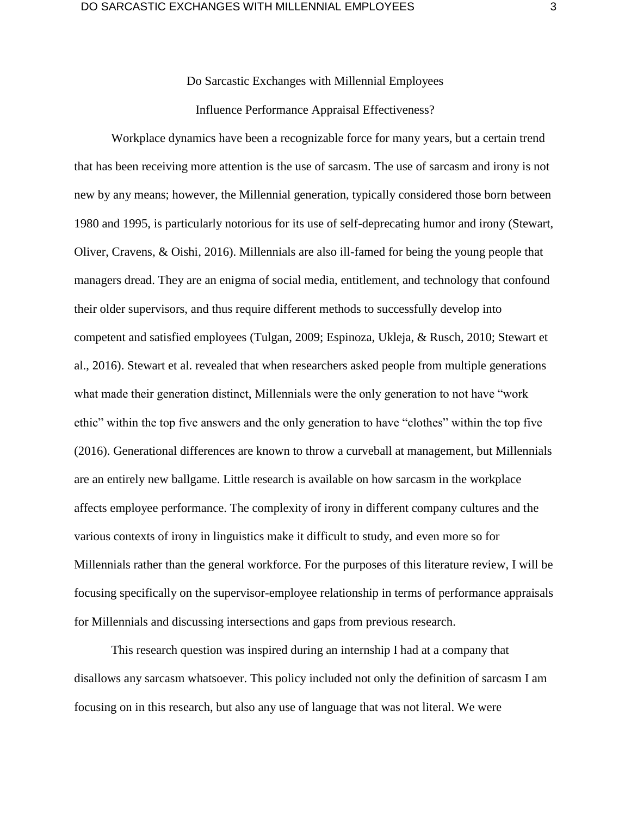Do Sarcastic Exchanges with Millennial Employees

Influence Performance Appraisal Effectiveness?

Workplace dynamics have been a recognizable force for many years, but a certain trend that has been receiving more attention is the use of sarcasm. The use of sarcasm and irony is not new by any means; however, the Millennial generation, typically considered those born between 1980 and 1995, is particularly notorious for its use of self-deprecating humor and irony (Stewart, Oliver, Cravens, & Oishi, 2016). Millennials are also ill-famed for being the young people that managers dread. They are an enigma of social media, entitlement, and technology that confound their older supervisors, and thus require different methods to successfully develop into competent and satisfied employees (Tulgan, 2009; Espinoza, Ukleja, & Rusch, 2010; Stewart et al., 2016). Stewart et al. revealed that when researchers asked people from multiple generations what made their generation distinct, Millennials were the only generation to not have "work ethic" within the top five answers and the only generation to have "clothes" within the top five (2016). Generational differences are known to throw a curveball at management, but Millennials are an entirely new ballgame. Little research is available on how sarcasm in the workplace affects employee performance. The complexity of irony in different company cultures and the various contexts of irony in linguistics make it difficult to study, and even more so for Millennials rather than the general workforce. For the purposes of this literature review, I will be focusing specifically on the supervisor-employee relationship in terms of performance appraisals for Millennials and discussing intersections and gaps from previous research.

This research question was inspired during an internship I had at a company that disallows any sarcasm whatsoever. This policy included not only the definition of sarcasm I am focusing on in this research, but also any use of language that was not literal. We were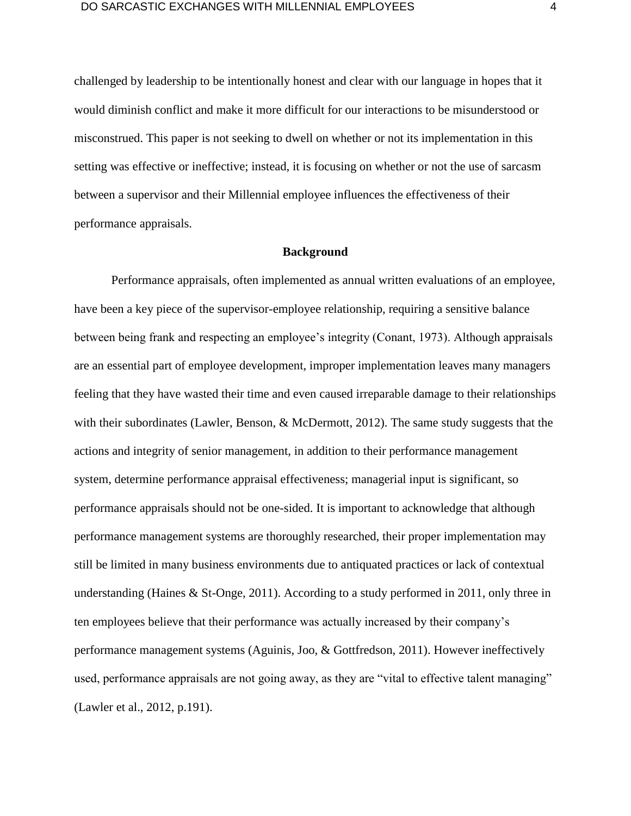challenged by leadership to be intentionally honest and clear with our language in hopes that it would diminish conflict and make it more difficult for our interactions to be misunderstood or misconstrued. This paper is not seeking to dwell on whether or not its implementation in this setting was effective or ineffective; instead, it is focusing on whether or not the use of sarcasm between a supervisor and their Millennial employee influences the effectiveness of their performance appraisals.

## **Background**

Performance appraisals, often implemented as annual written evaluations of an employee, have been a key piece of the supervisor-employee relationship, requiring a sensitive balance between being frank and respecting an employee's integrity (Conant, 1973). Although appraisals are an essential part of employee development, improper implementation leaves many managers feeling that they have wasted their time and even caused irreparable damage to their relationships with their subordinates (Lawler, Benson, & McDermott, 2012). The same study suggests that the actions and integrity of senior management, in addition to their performance management system, determine performance appraisal effectiveness; managerial input is significant, so performance appraisals should not be one-sided. It is important to acknowledge that although performance management systems are thoroughly researched, their proper implementation may still be limited in many business environments due to antiquated practices or lack of contextual understanding (Haines & St-Onge, 2011). According to a study performed in 2011, only three in ten employees believe that their performance was actually increased by their company's performance management systems (Aguinis, Joo, & Gottfredson, 2011). However ineffectively used, performance appraisals are not going away, as they are "vital to effective talent managing" (Lawler et al., 2012, p.191).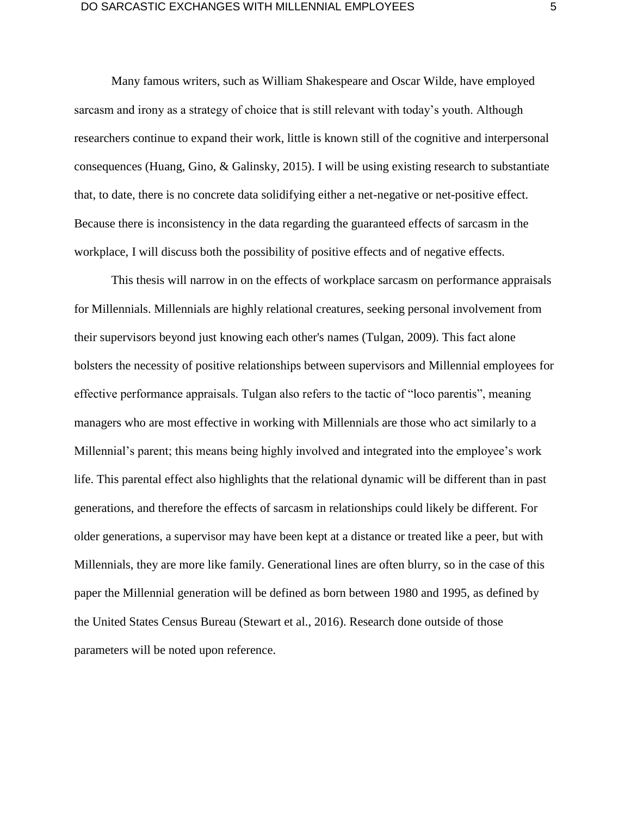Many famous writers, such as William Shakespeare and Oscar Wilde, have employed sarcasm and irony as a strategy of choice that is still relevant with today's youth. Although researchers continue to expand their work, little is known still of the cognitive and interpersonal consequences (Huang, Gino, & Galinsky, 2015). I will be using existing research to substantiate that, to date, there is no concrete data solidifying either a net-negative or net-positive effect. Because there is inconsistency in the data regarding the guaranteed effects of sarcasm in the workplace, I will discuss both the possibility of positive effects and of negative effects.

This thesis will narrow in on the effects of workplace sarcasm on performance appraisals for Millennials. Millennials are highly relational creatures, seeking personal involvement from their supervisors beyond just knowing each other's names (Tulgan, 2009). This fact alone bolsters the necessity of positive relationships between supervisors and Millennial employees for effective performance appraisals. Tulgan also refers to the tactic of "loco parentis", meaning managers who are most effective in working with Millennials are those who act similarly to a Millennial's parent; this means being highly involved and integrated into the employee's work life. This parental effect also highlights that the relational dynamic will be different than in past generations, and therefore the effects of sarcasm in relationships could likely be different. For older generations, a supervisor may have been kept at a distance or treated like a peer, but with Millennials, they are more like family. Generational lines are often blurry, so in the case of this paper the Millennial generation will be defined as born between 1980 and 1995, as defined by the United States Census Bureau (Stewart et al., 2016). Research done outside of those parameters will be noted upon reference.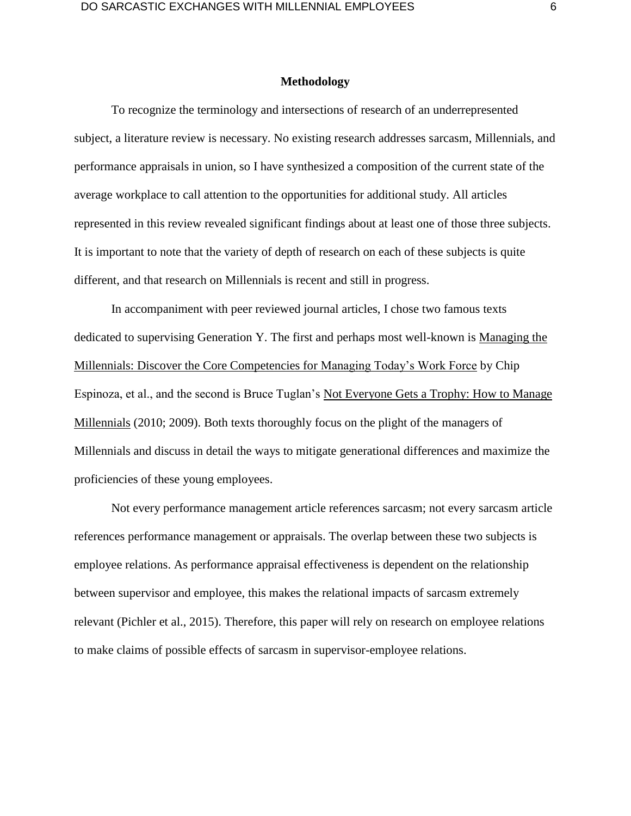# **Methodology**

To recognize the terminology and intersections of research of an underrepresented subject, a literature review is necessary. No existing research addresses sarcasm, Millennials, and performance appraisals in union, so I have synthesized a composition of the current state of the average workplace to call attention to the opportunities for additional study. All articles represented in this review revealed significant findings about at least one of those three subjects. It is important to note that the variety of depth of research on each of these subjects is quite different, and that research on Millennials is recent and still in progress.

In accompaniment with peer reviewed journal articles, I chose two famous texts dedicated to supervising Generation Y. The first and perhaps most well-known is Managing the Millennials: Discover the Core Competencies for Managing Today's Work Force by Chip Espinoza, et al., and the second is Bruce Tuglan's Not Everyone Gets a Trophy: How to Manage Millennials (2010; 2009). Both texts thoroughly focus on the plight of the managers of Millennials and discuss in detail the ways to mitigate generational differences and maximize the proficiencies of these young employees.

Not every performance management article references sarcasm; not every sarcasm article references performance management or appraisals. The overlap between these two subjects is employee relations. As performance appraisal effectiveness is dependent on the relationship between supervisor and employee, this makes the relational impacts of sarcasm extremely relevant (Pichler et al., 2015). Therefore, this paper will rely on research on employee relations to make claims of possible effects of sarcasm in supervisor-employee relations.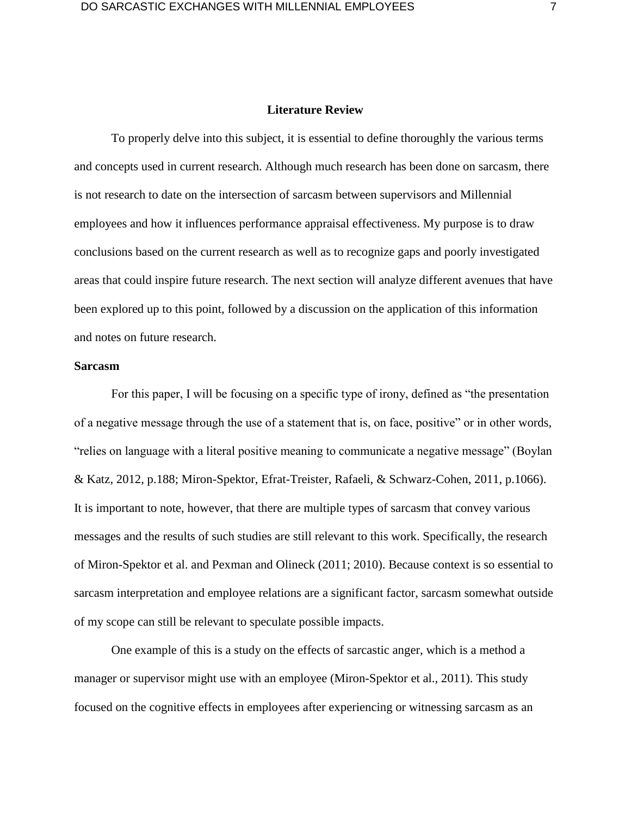#### **Literature Review**

To properly delve into this subject, it is essential to define thoroughly the various terms and concepts used in current research. Although much research has been done on sarcasm, there is not research to date on the intersection of sarcasm between supervisors and Millennial employees and how it influences performance appraisal effectiveness. My purpose is to draw conclusions based on the current research as well as to recognize gaps and poorly investigated areas that could inspire future research. The next section will analyze different avenues that have been explored up to this point, followed by a discussion on the application of this information and notes on future research.

# **Sarcasm**

For this paper, I will be focusing on a specific type of irony, defined as "the presentation of a negative message through the use of a statement that is, on face, positive" or in other words, "relies on language with a literal positive meaning to communicate a negative message" (Boylan & Katz, 2012, p.188; Miron-Spektor, Efrat-Treister, Rafaeli, & Schwarz-Cohen, 2011, p.1066). It is important to note, however, that there are multiple types of sarcasm that convey various messages and the results of such studies are still relevant to this work. Specifically, the research of Miron-Spektor et al. and Pexman and Olineck (2011; 2010). Because context is so essential to sarcasm interpretation and employee relations are a significant factor, sarcasm somewhat outside of my scope can still be relevant to speculate possible impacts.

One example of this is a study on the effects of sarcastic anger, which is a method a manager or supervisor might use with an employee (Miron-Spektor et al., 2011). This study focused on the cognitive effects in employees after experiencing or witnessing sarcasm as an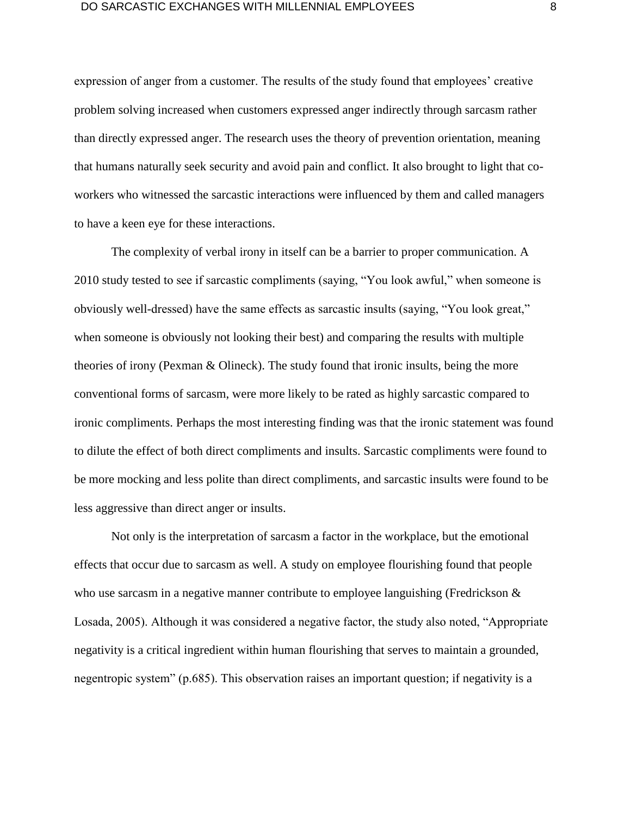expression of anger from a customer. The results of the study found that employees' creative problem solving increased when customers expressed anger indirectly through sarcasm rather than directly expressed anger. The research uses the theory of prevention orientation, meaning that humans naturally seek security and avoid pain and conflict. It also brought to light that coworkers who witnessed the sarcastic interactions were influenced by them and called managers to have a keen eye for these interactions.

The complexity of verbal irony in itself can be a barrier to proper communication. A 2010 study tested to see if sarcastic compliments (saying, "You look awful," when someone is obviously well-dressed) have the same effects as sarcastic insults (saying, "You look great," when someone is obviously not looking their best) and comparing the results with multiple theories of irony (Pexman & Olineck). The study found that ironic insults, being the more conventional forms of sarcasm, were more likely to be rated as highly sarcastic compared to ironic compliments. Perhaps the most interesting finding was that the ironic statement was found to dilute the effect of both direct compliments and insults. Sarcastic compliments were found to be more mocking and less polite than direct compliments, and sarcastic insults were found to be less aggressive than direct anger or insults.

Not only is the interpretation of sarcasm a factor in the workplace, but the emotional effects that occur due to sarcasm as well. A study on employee flourishing found that people who use sarcasm in a negative manner contribute to employee languishing (Fredrickson & Losada, 2005). Although it was considered a negative factor, the study also noted, "Appropriate negativity is a critical ingredient within human flourishing that serves to maintain a grounded, negentropic system" (p.685). This observation raises an important question; if negativity is a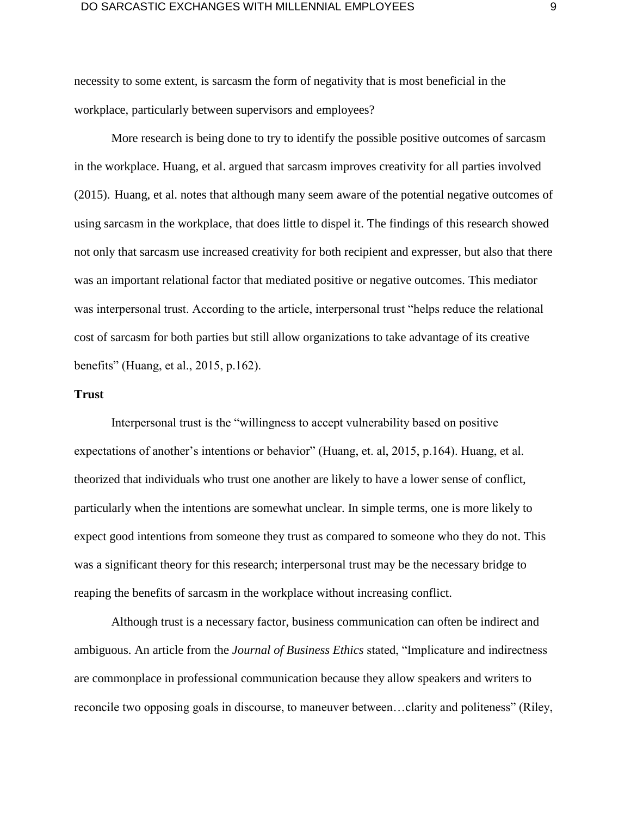necessity to some extent, is sarcasm the form of negativity that is most beneficial in the workplace, particularly between supervisors and employees?

More research is being done to try to identify the possible positive outcomes of sarcasm in the workplace. Huang, et al. argued that sarcasm improves creativity for all parties involved (2015). Huang, et al. notes that although many seem aware of the potential negative outcomes of using sarcasm in the workplace, that does little to dispel it. The findings of this research showed not only that sarcasm use increased creativity for both recipient and expresser, but also that there was an important relational factor that mediated positive or negative outcomes. This mediator was interpersonal trust. According to the article, interpersonal trust "helps reduce the relational cost of sarcasm for both parties but still allow organizations to take advantage of its creative benefits" (Huang, et al., 2015, p.162).

# **Trust**

Interpersonal trust is the "willingness to accept vulnerability based on positive expectations of another's intentions or behavior" (Huang, et. al, 2015, p.164). Huang, et al. theorized that individuals who trust one another are likely to have a lower sense of conflict, particularly when the intentions are somewhat unclear. In simple terms, one is more likely to expect good intentions from someone they trust as compared to someone who they do not. This was a significant theory for this research; interpersonal trust may be the necessary bridge to reaping the benefits of sarcasm in the workplace without increasing conflict.

Although trust is a necessary factor, business communication can often be indirect and ambiguous. An article from the *Journal of Business Ethics* stated, "Implicature and indirectness are commonplace in professional communication because they allow speakers and writers to reconcile two opposing goals in discourse, to maneuver between…clarity and politeness" (Riley,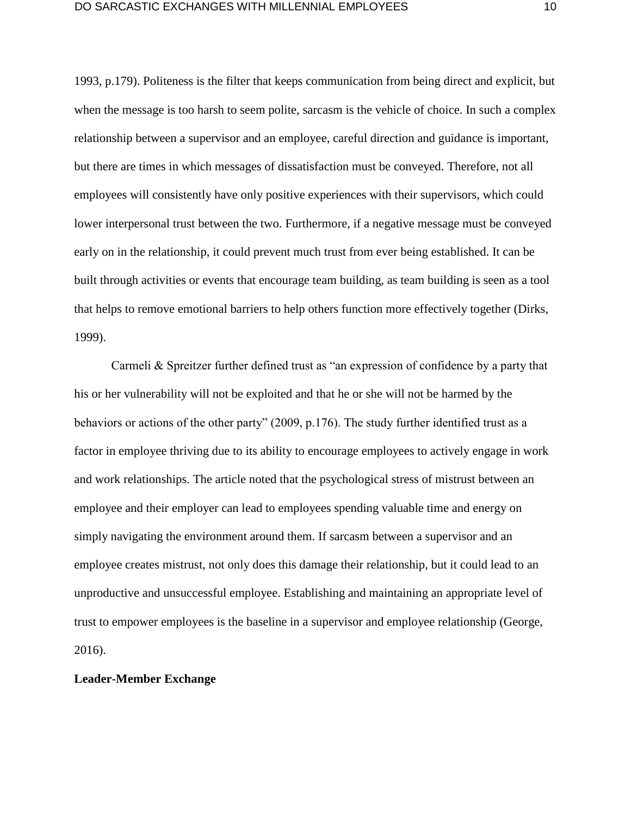1993, p.179). Politeness is the filter that keeps communication from being direct and explicit, but when the message is too harsh to seem polite, sarcasm is the vehicle of choice. In such a complex relationship between a supervisor and an employee, careful direction and guidance is important, but there are times in which messages of dissatisfaction must be conveyed. Therefore, not all employees will consistently have only positive experiences with their supervisors, which could lower interpersonal trust between the two. Furthermore, if a negative message must be conveyed early on in the relationship, it could prevent much trust from ever being established. It can be built through activities or events that encourage team building, as team building is seen as a tool that helps to remove emotional barriers to help others function more effectively together (Dirks, 1999).

Carmeli & Spreitzer further defined trust as "an expression of confidence by a party that his or her vulnerability will not be exploited and that he or she will not be harmed by the behaviors or actions of the other party" (2009, p.176). The study further identified trust as a factor in employee thriving due to its ability to encourage employees to actively engage in work and work relationships. The article noted that the psychological stress of mistrust between an employee and their employer can lead to employees spending valuable time and energy on simply navigating the environment around them. If sarcasm between a supervisor and an employee creates mistrust, not only does this damage their relationship, but it could lead to an unproductive and unsuccessful employee. Establishing and maintaining an appropriate level of trust to empower employees is the baseline in a supervisor and employee relationship (George, 2016).

# **Leader-Member Exchange**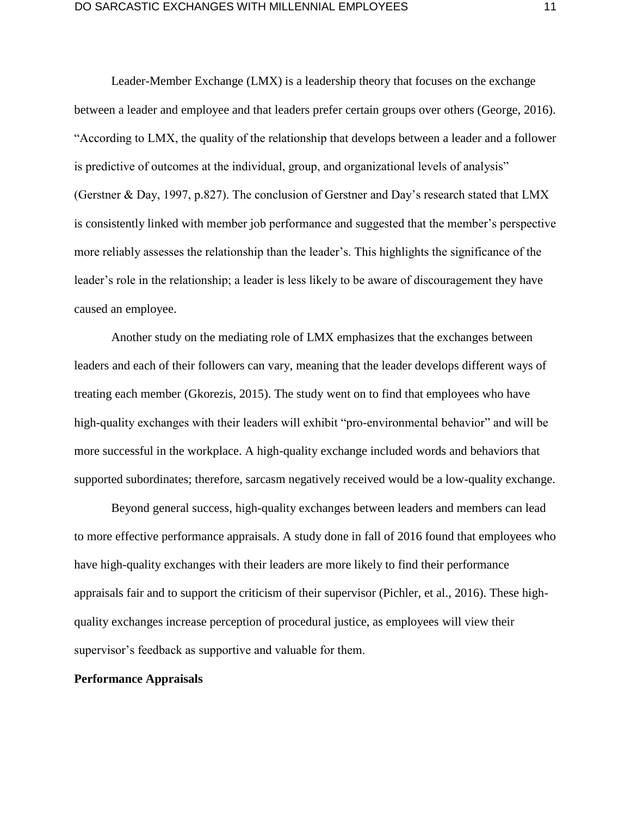Leader-Member Exchange (LMX) is a leadership theory that focuses on the exchange between a leader and employee and that leaders prefer certain groups over others (George, 2016). "According to LMX, the quality of the relationship that develops between a leader and a follower is predictive of outcomes at the individual, group, and organizational levels of analysis" (Gerstner & Day, 1997, p.827). The conclusion of Gerstner and Day's research stated that LMX is consistently linked with member job performance and suggested that the member's perspective more reliably assesses the relationship than the leader's. This highlights the significance of the leader's role in the relationship; a leader is less likely to be aware of discouragement they have caused an employee.

Another study on the mediating role of LMX emphasizes that the exchanges between leaders and each of their followers can vary, meaning that the leader develops different ways of treating each member (Gkorezis, 2015). The study went on to find that employees who have high-quality exchanges with their leaders will exhibit "pro-environmental behavior" and will be more successful in the workplace. A high-quality exchange included words and behaviors that supported subordinates; therefore, sarcasm negatively received would be a low-quality exchange.

Beyond general success, high-quality exchanges between leaders and members can lead to more effective performance appraisals. A study done in fall of 2016 found that employees who have high-quality exchanges with their leaders are more likely to find their performance appraisals fair and to support the criticism of their supervisor (Pichler, et al., 2016). These highquality exchanges increase perception of procedural justice, as employees will view their supervisor's feedback as supportive and valuable for them.

# **Performance Appraisals**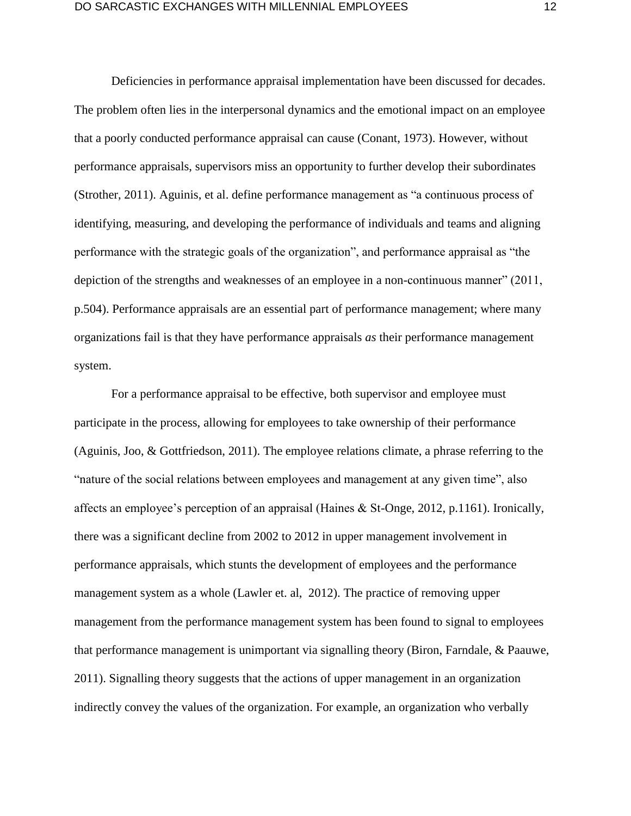Deficiencies in performance appraisal implementation have been discussed for decades. The problem often lies in the interpersonal dynamics and the emotional impact on an employee that a poorly conducted performance appraisal can cause (Conant, 1973). However, without performance appraisals, supervisors miss an opportunity to further develop their subordinates (Strother, 2011). Aguinis, et al. define performance management as "a continuous process of identifying, measuring, and developing the performance of individuals and teams and aligning performance with the strategic goals of the organization", and performance appraisal as "the depiction of the strengths and weaknesses of an employee in a non-continuous manner" (2011, p.504). Performance appraisals are an essential part of performance management; where many organizations fail is that they have performance appraisals *as* their performance management system.

For a performance appraisal to be effective, both supervisor and employee must participate in the process, allowing for employees to take ownership of their performance (Aguinis, Joo, & Gottfriedson, 2011). The employee relations climate, a phrase referring to the "nature of the social relations between employees and management at any given time", also affects an employee's perception of an appraisal (Haines & St-Onge, 2012, p.1161). Ironically, there was a significant decline from 2002 to 2012 in upper management involvement in performance appraisals, which stunts the development of employees and the performance management system as a whole (Lawler et. al, 2012). The practice of removing upper management from the performance management system has been found to signal to employees that performance management is unimportant via signalling theory (Biron, Farndale, & Paauwe, 2011). Signalling theory suggests that the actions of upper management in an organization indirectly convey the values of the organization. For example, an organization who verbally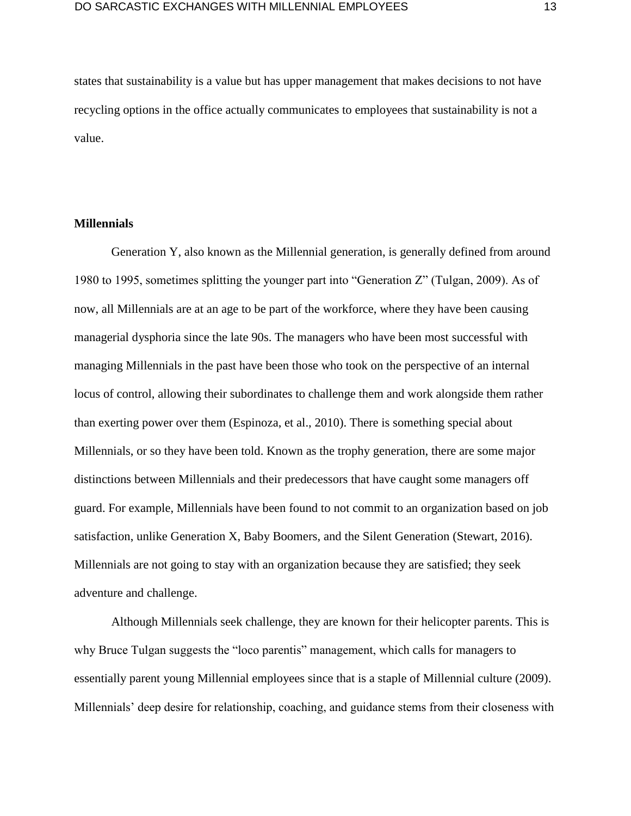states that sustainability is a value but has upper management that makes decisions to not have recycling options in the office actually communicates to employees that sustainability is not a value.

# **Millennials**

Generation Y, also known as the Millennial generation, is generally defined from around 1980 to 1995, sometimes splitting the younger part into "Generation Z" (Tulgan, 2009). As of now, all Millennials are at an age to be part of the workforce, where they have been causing managerial dysphoria since the late 90s. The managers who have been most successful with managing Millennials in the past have been those who took on the perspective of an internal locus of control, allowing their subordinates to challenge them and work alongside them rather than exerting power over them (Espinoza, et al., 2010). There is something special about Millennials, or so they have been told. Known as the trophy generation, there are some major distinctions between Millennials and their predecessors that have caught some managers off guard. For example, Millennials have been found to not commit to an organization based on job satisfaction, unlike Generation X, Baby Boomers, and the Silent Generation (Stewart, 2016). Millennials are not going to stay with an organization because they are satisfied; they seek adventure and challenge.

Although Millennials seek challenge, they are known for their helicopter parents. This is why Bruce Tulgan suggests the "loco parentis" management, which calls for managers to essentially parent young Millennial employees since that is a staple of Millennial culture (2009). Millennials' deep desire for relationship, coaching, and guidance stems from their closeness with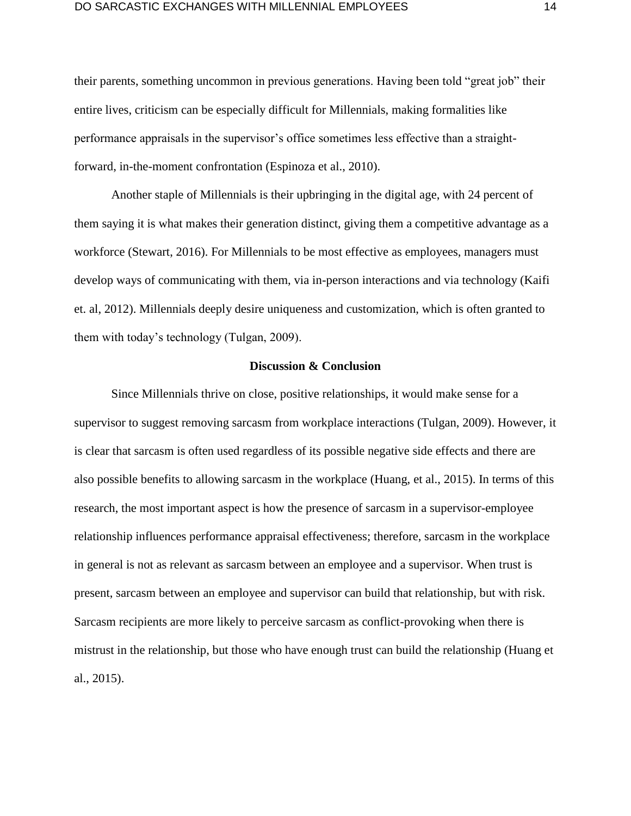their parents, something uncommon in previous generations. Having been told "great job" their entire lives, criticism can be especially difficult for Millennials, making formalities like performance appraisals in the supervisor's office sometimes less effective than a straightforward, in-the-moment confrontation (Espinoza et al., 2010).

Another staple of Millennials is their upbringing in the digital age, with 24 percent of them saying it is what makes their generation distinct, giving them a competitive advantage as a workforce (Stewart, 2016). For Millennials to be most effective as employees, managers must develop ways of communicating with them, via in-person interactions and via technology (Kaifi et. al, 2012). Millennials deeply desire uniqueness and customization, which is often granted to them with today's technology (Tulgan, 2009).

## **Discussion & Conclusion**

Since Millennials thrive on close, positive relationships, it would make sense for a supervisor to suggest removing sarcasm from workplace interactions (Tulgan, 2009). However, it is clear that sarcasm is often used regardless of its possible negative side effects and there are also possible benefits to allowing sarcasm in the workplace (Huang, et al., 2015). In terms of this research, the most important aspect is how the presence of sarcasm in a supervisor-employee relationship influences performance appraisal effectiveness; therefore, sarcasm in the workplace in general is not as relevant as sarcasm between an employee and a supervisor. When trust is present, sarcasm between an employee and supervisor can build that relationship, but with risk. Sarcasm recipients are more likely to perceive sarcasm as conflict-provoking when there is mistrust in the relationship, but those who have enough trust can build the relationship (Huang et al., 2015).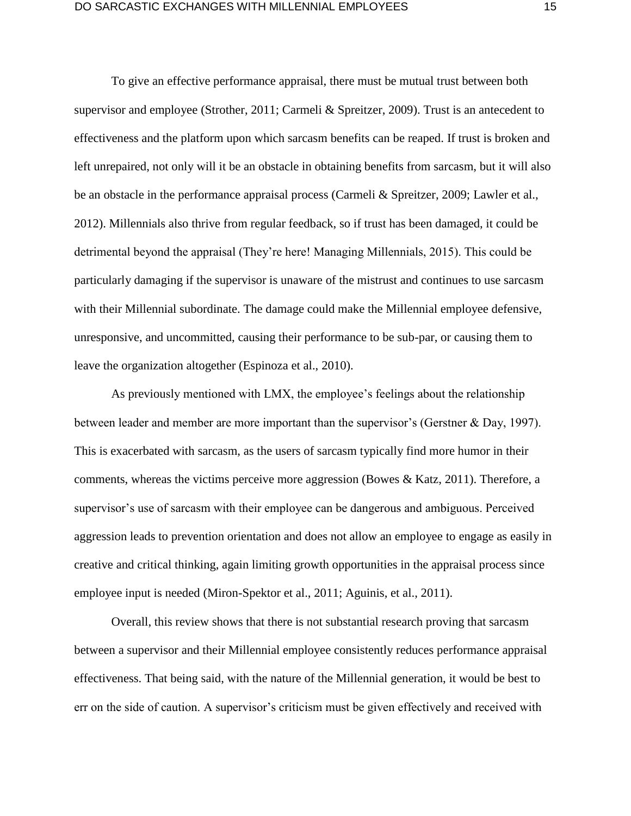To give an effective performance appraisal, there must be mutual trust between both supervisor and employee (Strother, 2011; Carmeli & Spreitzer, 2009). Trust is an antecedent to effectiveness and the platform upon which sarcasm benefits can be reaped. If trust is broken and left unrepaired, not only will it be an obstacle in obtaining benefits from sarcasm, but it will also be an obstacle in the performance appraisal process (Carmeli & Spreitzer, 2009; Lawler et al., 2012). Millennials also thrive from regular feedback, so if trust has been damaged, it could be detrimental beyond the appraisal (They're here! Managing Millennials, 2015). This could be particularly damaging if the supervisor is unaware of the mistrust and continues to use sarcasm with their Millennial subordinate. The damage could make the Millennial employee defensive, unresponsive, and uncommitted, causing their performance to be sub-par, or causing them to leave the organization altogether (Espinoza et al., 2010).

As previously mentioned with LMX, the employee's feelings about the relationship between leader and member are more important than the supervisor's (Gerstner & Day, 1997). This is exacerbated with sarcasm, as the users of sarcasm typically find more humor in their comments, whereas the victims perceive more aggression (Bowes  $\&$  Katz, 2011). Therefore, a supervisor's use of sarcasm with their employee can be dangerous and ambiguous. Perceived aggression leads to prevention orientation and does not allow an employee to engage as easily in creative and critical thinking, again limiting growth opportunities in the appraisal process since employee input is needed (Miron-Spektor et al., 2011; Aguinis, et al., 2011).

Overall, this review shows that there is not substantial research proving that sarcasm between a supervisor and their Millennial employee consistently reduces performance appraisal effectiveness. That being said, with the nature of the Millennial generation, it would be best to err on the side of caution. A supervisor's criticism must be given effectively and received with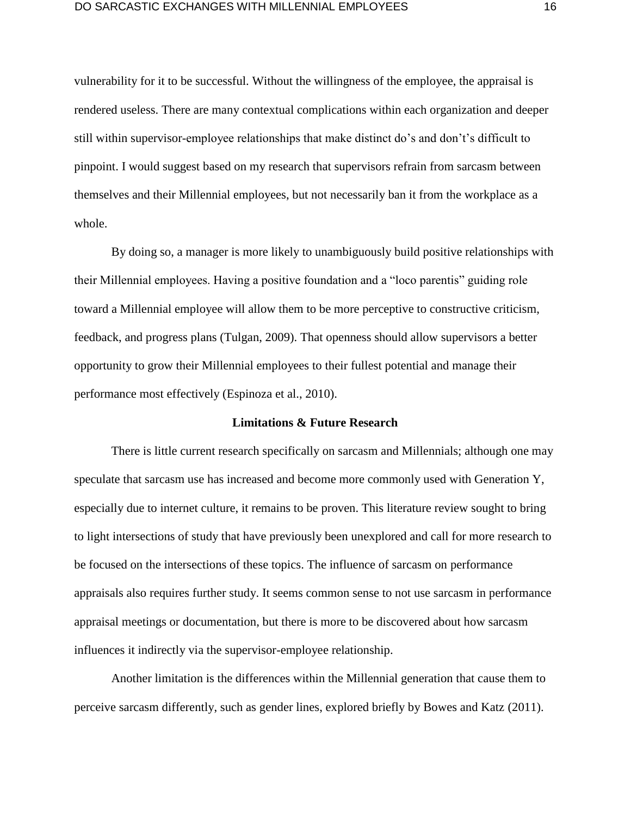vulnerability for it to be successful. Without the willingness of the employee, the appraisal is rendered useless. There are many contextual complications within each organization and deeper still within supervisor-employee relationships that make distinct do's and don't's difficult to pinpoint. I would suggest based on my research that supervisors refrain from sarcasm between themselves and their Millennial employees, but not necessarily ban it from the workplace as a whole.

By doing so, a manager is more likely to unambiguously build positive relationships with their Millennial employees. Having a positive foundation and a "loco parentis" guiding role toward a Millennial employee will allow them to be more perceptive to constructive criticism, feedback, and progress plans (Tulgan, 2009). That openness should allow supervisors a better opportunity to grow their Millennial employees to their fullest potential and manage their performance most effectively (Espinoza et al., 2010).

#### **Limitations & Future Research**

There is little current research specifically on sarcasm and Millennials; although one may speculate that sarcasm use has increased and become more commonly used with Generation Y, especially due to internet culture, it remains to be proven. This literature review sought to bring to light intersections of study that have previously been unexplored and call for more research to be focused on the intersections of these topics. The influence of sarcasm on performance appraisals also requires further study. It seems common sense to not use sarcasm in performance appraisal meetings or documentation, but there is more to be discovered about how sarcasm influences it indirectly via the supervisor-employee relationship.

Another limitation is the differences within the Millennial generation that cause them to perceive sarcasm differently, such as gender lines, explored briefly by Bowes and Katz (2011).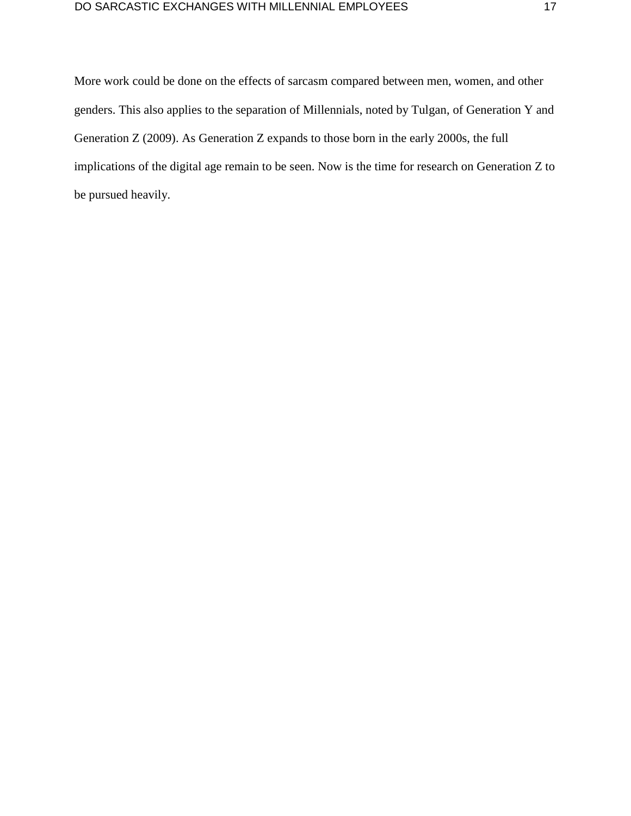More work could be done on the effects of sarcasm compared between men, women, and other genders. This also applies to the separation of Millennials, noted by Tulgan, of Generation Y and Generation Z (2009). As Generation Z expands to those born in the early 2000s, the full implications of the digital age remain to be seen. Now is the time for research on Generation Z to be pursued heavily.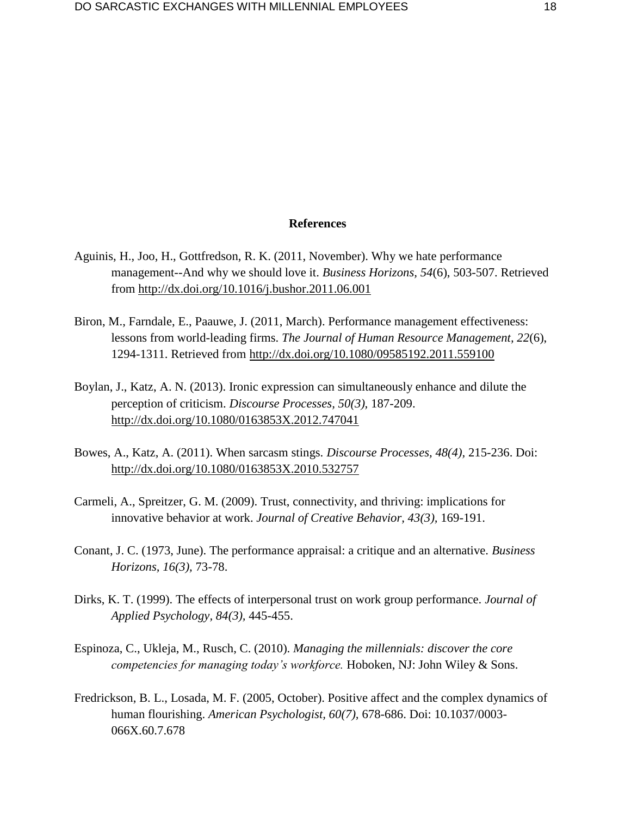## **References**

- Aguinis, H., Joo, H., Gottfredson, R. K. (2011, November). Why we hate performance management--And why we should love it. *Business Horizons, 54*(6), 503-507. Retrieved from<http://dx.doi.org/10.1016/j.bushor.2011.06.001>
- Biron, M., Farndale, E., Paauwe, J. (2011, March). Performance management effectiveness: lessons from world-leading firms. *The Journal of Human Resource Management, 22*(6), 1294-1311. Retrieved from<http://dx.doi.org/10.1080/09585192.2011.559100>
- Boylan, J., Katz, A. N. (2013). Ironic expression can simultaneously enhance and dilute the perception of criticism. *Discourse Processes, 50(3),* 187-209. <http://dx.doi.org/10.1080/0163853X.2012.747041>
- Bowes, A., Katz, A. (2011). When sarcasm stings. *Discourse Processes, 48(4),* 215-236. Doi: <http://dx.doi.org/10.1080/0163853X.2010.532757>
- Carmeli, A., Spreitzer, G. M. (2009). Trust, connectivity, and thriving: implications for innovative behavior at work. *Journal of Creative Behavior, 43(3),* 169-191.
- Conant, J. C. (1973, June). The performance appraisal: a critique and an alternative. *Business Horizons, 16(3),* 73-78.
- Dirks, K. T. (1999). The effects of interpersonal trust on work group performance. *Journal of Applied Psychology, 84(3),* 445-455.
- Espinoza, C., Ukleja, M., Rusch, C. (2010). *Managing the millennials: discover the core competencies for managing today's workforce.* Hoboken, NJ: John Wiley & Sons.
- Fredrickson, B. L., Losada, M. F. (2005, October). Positive affect and the complex dynamics of human flourishing. *American Psychologist, 60(7),* 678-686. Doi: 10.1037/0003- 066X.60.7.678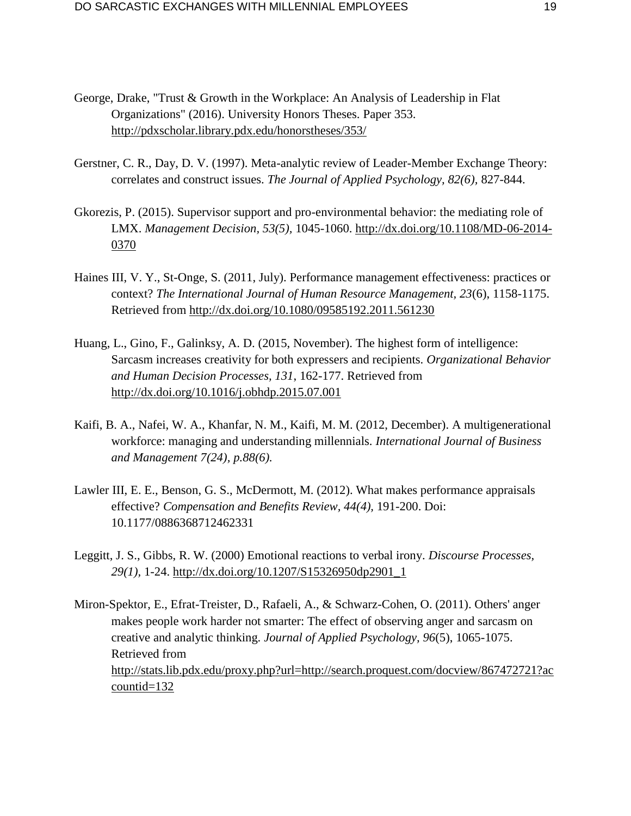- George, Drake, "Trust & Growth in the Workplace: An Analysis of Leadership in Flat Organizations" (2016). University Honors Theses. Paper 353. <http://pdxscholar.library.pdx.edu/honorstheses/353/>
- Gerstner, C. R., Day, D. V. (1997). Meta-analytic review of Leader-Member Exchange Theory: correlates and construct issues. *The Journal of Applied Psychology, 82(6),* 827-844.
- Gkorezis, P. (2015). Supervisor support and pro-environmental behavior: the mediating role of LMX. *Management Decision, 53(5),* 1045-1060. [http://dx.doi.org/10.1108/MD-06-2014-](http://dx.doi.org/10.1108/MD-06-2014-0370) [0370](http://dx.doi.org/10.1108/MD-06-2014-0370)
- Haines III, V. Y., St-Onge, S. (2011, July). Performance management effectiveness: practices or context? *The International Journal of Human Resource Management, 23*(6), 1158-1175. Retrieved from<http://dx.doi.org/10.1080/09585192.2011.561230>
- Huang, L., Gino, F., Galinksy, A. D. (2015, November). The highest form of intelligence: Sarcasm increases creativity for both expressers and recipients. *Organizational Behavior and Human Decision Processes, 131*, 162-177. Retrieved from <http://dx.doi.org/10.1016/j.obhdp.2015.07.001>
- Kaifi, B. A., Nafei, W. A., Khanfar, N. M., Kaifi, M. M. (2012, December). A multigenerational workforce: managing and understanding millennials. *International Journal of Business and Management 7(24), p.88(6).*
- Lawler III, E. E., Benson, G. S., McDermott, M. (2012). What makes performance appraisals effective? *Compensation and Benefits Review, 44(4),* 191-200. Doi: 10.1177/0886368712462331
- Leggitt, J. S., Gibbs, R. W. (2000) Emotional reactions to verbal irony. *Discourse Processes, 29(1),* 1-24. [http://dx.doi.org/10.1207/S15326950dp2901\\_1](http://dx.doi.org/10.1207/S15326950dp2901_1)
- Miron-Spektor, E., Efrat-Treister, D., Rafaeli, A., & Schwarz-Cohen, O. (2011). Others' anger makes people work harder not smarter: The effect of observing anger and sarcasm on creative and analytic thinking. *Journal of Applied Psychology, 96*(5), 1065-1075. Retrieved from [http://stats.lib.pdx.edu/proxy.php?url=http://search.proquest.com/docview/867472721?ac](http://stats.lib.pdx.edu/proxy.php?url=http://search.proquest.com/docview/867472721?accountid=132) [countid=132](http://stats.lib.pdx.edu/proxy.php?url=http://search.proquest.com/docview/867472721?accountid=132)